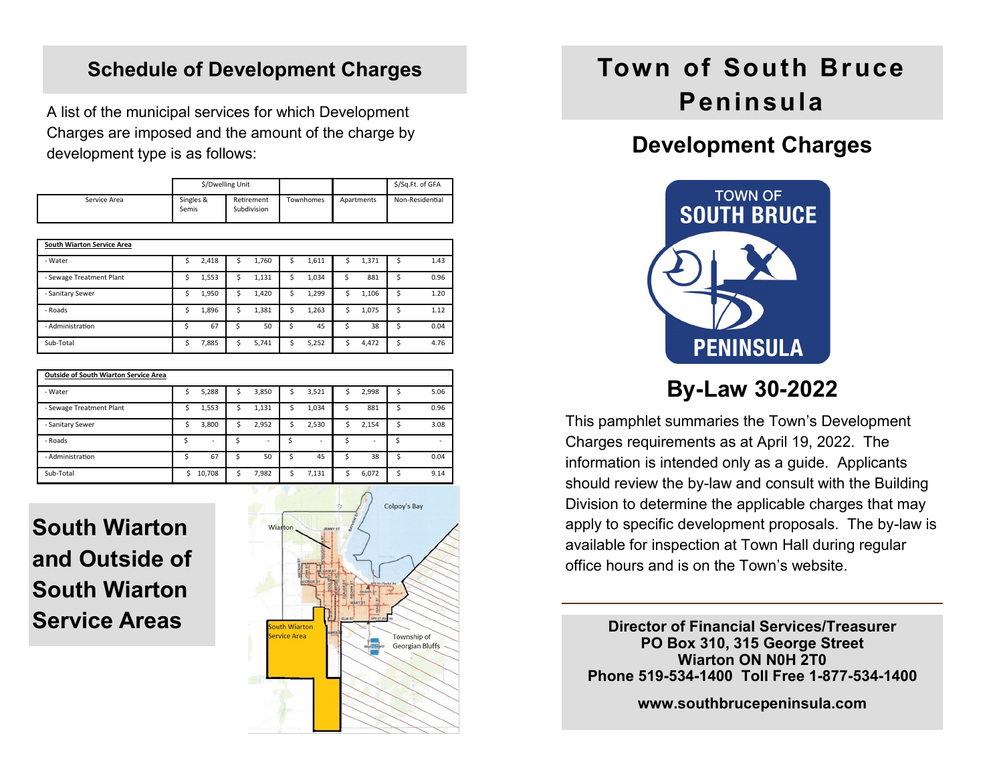#### **Schedule of Development Charges**

A list of the municipal services for which Development Charges are imposed and the amount of the charge by development type is as follows:

|              | \$/Dwelling Unit   |                           |           |            | \$/Sq.Ft. of GFA |
|--------------|--------------------|---------------------------|-----------|------------|------------------|
| Service Area | Singles &<br>Semis | Retirement<br>Subdivision | Townhomes | Apartments | Non-Residential  |

| <b>South Wiarton Service Area</b> |   |       |    |       |   |       |    |       |   |      |
|-----------------------------------|---|-------|----|-------|---|-------|----|-------|---|------|
| - Water                           |   | 2,418 | s  | 1,760 | S | 1,611 | \$ | 1,371 | Ś | 1.43 |
| - Sewage Treatment Plant          |   | 1,553 | \$ | 1,131 | Ś | 1,034 | \$ | 881   | Ś | 0.96 |
| - Sanitary Sewer                  |   | 1,950 | \$ | 1,420 | Ś | 1,299 | Ś  | 1,106 | Ś | 1.20 |
| - Roads                           | Ś | 1,896 | \$ | 1,381 | Ś | 1,263 | Ś  | 1,075 | Ś | 1.12 |
| - Administration                  |   | 67    | Ś  | 50    | Ś | 45    | Ś  | 38    | Ś | 0.04 |
| Sub-Total                         | Ś | 7,885 | \$ | 5,741 | Ś | 5,252 | Ś  | 4,472 | Ś | 4.76 |

| <b>Outside of South Wiarton Service Area</b> |   |        |    |       |    |       |    |       |    |      |
|----------------------------------------------|---|--------|----|-------|----|-------|----|-------|----|------|
| - Water                                      | Ś | 5,288  | \$ | 3,850 | \$ | 3,521 | Ś. | 2,998 | Ś  | 5.06 |
| - Sewage Treatment Plant                     | Ś | 1,553  | S  | 1,131 | \$ | 1,034 | Ś  | 881   | Ś  | 0.96 |
| - Sanitary Sewer                             | Ś | 3,800  | \$ | 2,952 | \$ | 2,530 | Ś  | 2,154 | Ś  | 3.08 |
| - Roads                                      |   | ٠      | \$ | ۰     | Ś  | ٠     | Ś  | ٠     | Ś  | ۰    |
| - Administration                             | Ś | 67     | \$ | 50    | Ś  | 45    | Ś  | 38    | Ś. | 0.04 |
| Sub-Total                                    | Ś | 10,708 | \$ | 7,982 | Ś  | 7,131 | Ś  | 6,072 | Ś  | 9.14 |

**South Wiarton and Outside of South Wiarton Service Areas**



# **Town of South Bruce Peninsula**

## **Development Charges**



This pamphlet summaries the Town's Development Charges requirements as at April 19, 2022. The information is intended only as a guide. Applicants should review the by-law and consult with the Building Division to determine the applicable charges that may apply to specific development proposals. The by-law is available for inspection at Town Hall during regular office hours and is on the Town's website.

**Director of Financial Services/Treasurer PO Box 310, 315 George Street Wiarton ON N0H 2T0 Phone 519-534-1400 Toll Free 1-877-534-1400**

**www.southbrucepeninsula.com**